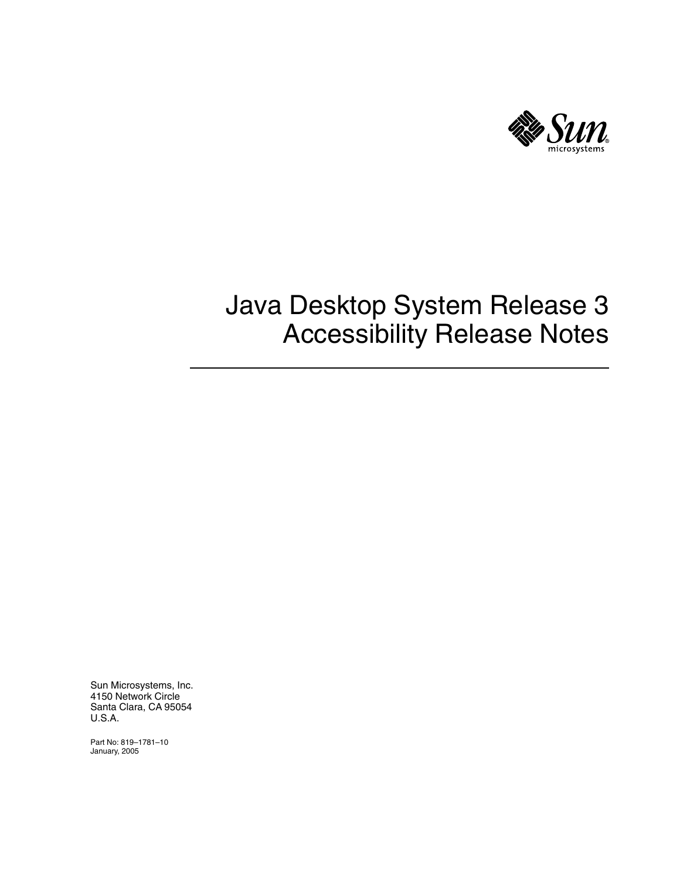

# Java Desktop System Release 3 Accessibility Release Notes

Sun Microsystems, Inc. 4150 Network Circle Santa Clara, CA 95054 U.S.A.

Part No: 819–1781–10 January, 2005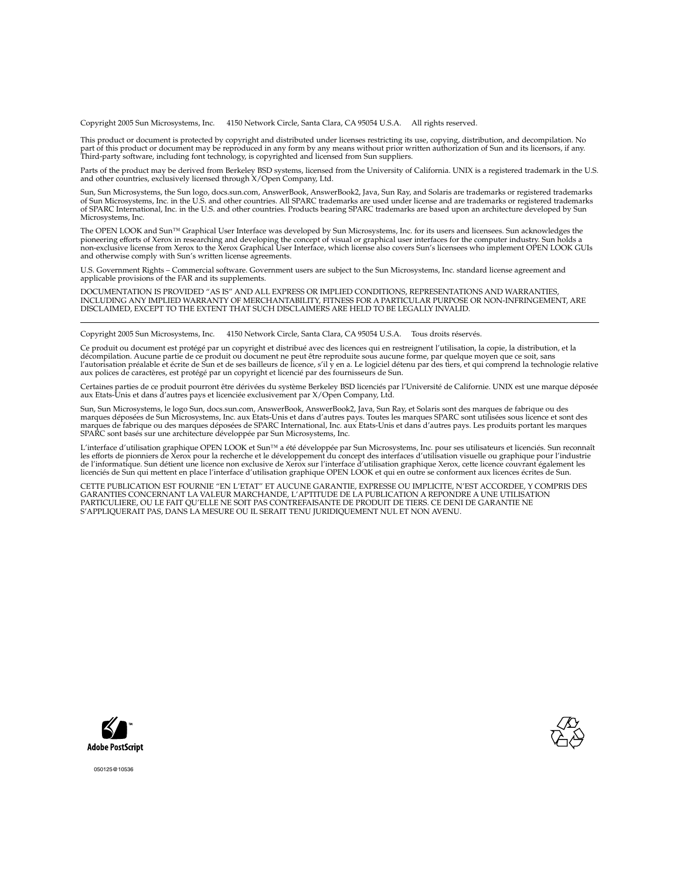Copyright 2005 Sun Microsystems, Inc. 4150 Network Circle, Santa Clara, CA 95054 U.S.A. All rights reserved.

This product or document is protected by copyright and distributed under licenses restricting its use, copying, distribution, and decompilation. No part of this product or document may be reproduced in any form by any means without prior written authorization of Sun and its licensors, if any.<br>Third-party software, including font technology, is copyrighted and licensed

Parts of the product may be derived from Berkeley BSD systems, licensed from the University of California. UNIX is a registered trademark in the U.S. and other countries, exclusively licensed through X/Open Company, Ltd.

Sun, Sun Microsystems, the Sun logo, docs.sun.com, AnswerBook, AnswerBook2, Java, Sun Ray, and Solaris are trademarks or registered trademarks<br>of Sun Microsystems, Inc. in the U.S. and other countries. All SPARC trademarks Microsystems, Inc.

The OPEN LOOK and Sun™ Graphical User Interface was developed by Sun Microsystems, Inc. for its users and licensees. Sun acknowledges the pioneering efforts of Xerox in researching and developing the concept of visual or graphical user interfaces for the computer industry. Sun holds a<br>non-exclusive license from Xerox to the Xerox Graphical User Interface, wh and otherwise comply with Sun's written license agreements.

U.S. Government Rights – Commercial software. Government users are subject to the Sun Microsystems, Inc. standard license agreement and applicable provisions of the FAR and its supplements.

DOCUMENTATION IS PROVIDED "AS IS" AND ALL EXPRESS OR IMPLIED CONDITIONS, REPRESENTATIONS AND WARRANTIES,<br>INCLUDING ANY IMPLIED WARRANTY OF MERCHANTABILITY, FITNESS FOR A PARTICULAR PURPOSE OR NON-INFRINGEMENT, ARE<br>DISCLAIM

Copyright 2005 Sun Microsystems, Inc. 4150 Network Circle, Santa Clara, CA 95054 U.S.A. Tous droits réservés.

Ce produit ou document est protégé par un copyright et distribué avec des licences qui en restreignent l'utilisation, la copie, la distribution, et la décompilation. Aucune partie de ce produit ou document ne peut être reproduite sous aucune forme, par quelque moyen que ce soit, sans<br>l'autorisation préalable et écrite de Sun et de ses bailleurs de licence, s'il y en a. L

Certaines parties de ce produit pourront être dérivées du système Berkeley BSD licenciés par l'Université de Californie. UNIX est une marque déposée aux Etats-Unis et dans d'autres pays et licenciée exclusivement par X/Open Company, Ltd.

Sun, Sun Microsystems, le logo Sun, docs.sun.com, AnswerBook, AnswerBook2, Java, Sun Ray, et Solaris sont des marques de fabrique ou des<br>marques déposées de Sun Microsystems, Inc. aux Etats-Unis et dans d'autres pays. Tout SPARC sont basés sur une architecture développée par Sun Microsystems, Inc.

L'interface d'utilisation graphique OPEN LOOK et Sun™a été développée par Sun Microsystems, Inc. pour ses utilisateurs et licenciés. Sun reconnaît<br>les efforts de pionniers de Xerox pour la recherche et le développement du de l'informatique. Sun détient une licence non exclusive de Xerox sur l'interface d'utilisation graphique Xerox, cette licence couvrant également les<br>licenciés de Sun qui mettent en place l'interface d'utilisation graphiqu

CETTE PUBLICATION EST FOURNIE "EN L'ETAT" ET AUCUNE GARANTIE, EXPRESSE OU IMPLICITE, N'EST ACCORDEE, Y COMPRIS DES GARANTIES CONCERNANT LA VALEUR MARCHANDE, L'APTITUDE DE LA PUBLICATION A REPONDRE A UNE UTILISATION<br>PARTICULIERE, OU LE FAIT QU'ELLE NE SOIT PAS CONTREFAISANTE DE PRODUIT DE TIERS. CE DENI DE GARANTIE NE<br>S'APPLIQUERAIT PAS





050125@10536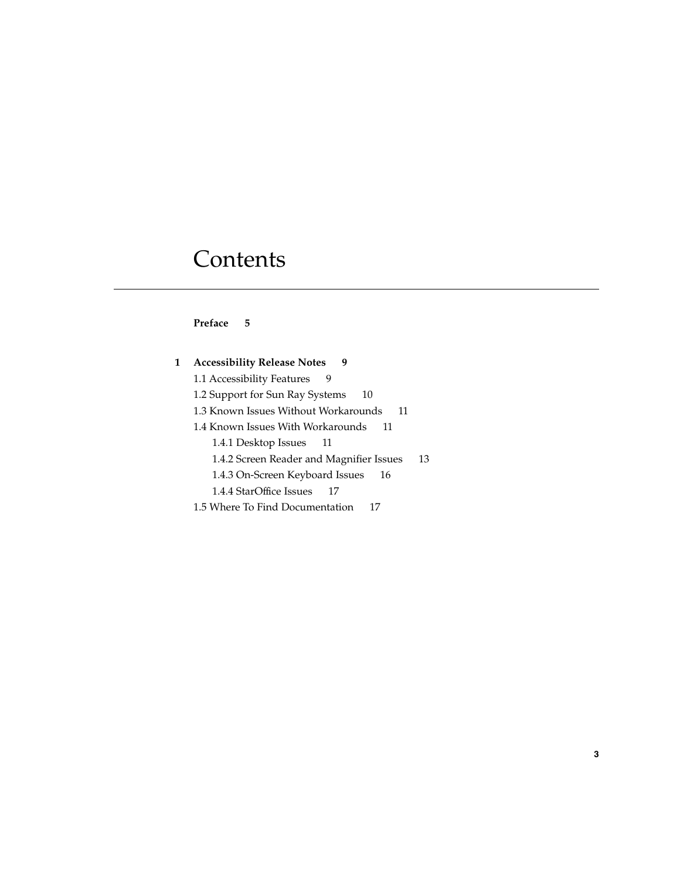## **Contents**

#### **[Preface 5](#page-4-0)**

**[1 Accessibility Release Notes 9](#page-8-0)** [1.1 Accessibility Features 9](#page-8-0) [1.2 Support for Sun Ray Systems 10](#page-9-0) [1.3 Known Issues Without Workarounds 11](#page-10-0) [1.4 Known Issues With Workarounds 11](#page-10-0) [1.4.1 Desktop Issues 11](#page-10-0) [1.4.2 Screen Reader and Magnifier Issues 13](#page-12-0) [1.4.3 On-Screen Keyboard Issues 16](#page-15-0) [1.4.4 StarOffice Issues 17](#page-16-0) [1.5 Where To Find Documentation 17](#page-16-0)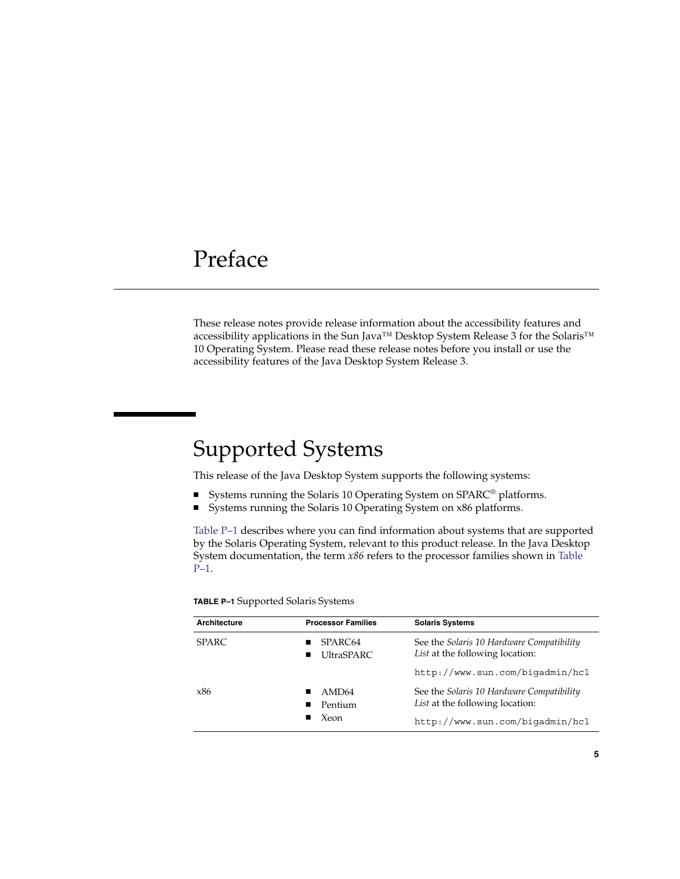## <span id="page-4-0"></span>Preface

These release notes provide release information about the accessibility features and accessibility applications in the Sun Java™ Desktop System Release 3 for the Solaris™ 10 Operating System. Please read these release notes before you install or use the accessibility features of the Java Desktop System Release 3.

## Supported Systems

This release of the Java Desktop System supports the following systems:

- Systems running the Solaris 10 Operating System on SPARC<sup>®</sup> platforms.
- Systems running the Solaris 10 Operating System on x86 platforms.

Table P–1 describes where you can find information about systems that are supported by the Solaris Operating System, relevant to this product release. In the Java Desktop System documentation, the term *x86* refers to the processor families shown in Table P–1.

| <b>Architecture</b> | <b>Processor Families</b>                      | <b>Solaris Systems</b>                                                       |
|---------------------|------------------------------------------------|------------------------------------------------------------------------------|
| <b>SPARC</b>        | SPARC64<br><b>UltraSPARC</b><br>$\blacksquare$ | See the Solaris 10 Hardware Compatibility<br>List at the following location: |
|                     |                                                | http://www.sun.com/bigadmin/hcl                                              |
| x86                 | AMD <sub>64</sub><br>Pentium                   | See the Solaris 10 Hardware Compatibility<br>List at the following location: |
|                     | Xeon                                           | http://www.sun.com/biqadmin/hcl                                              |

**TABLE P–1** Supported Solaris Systems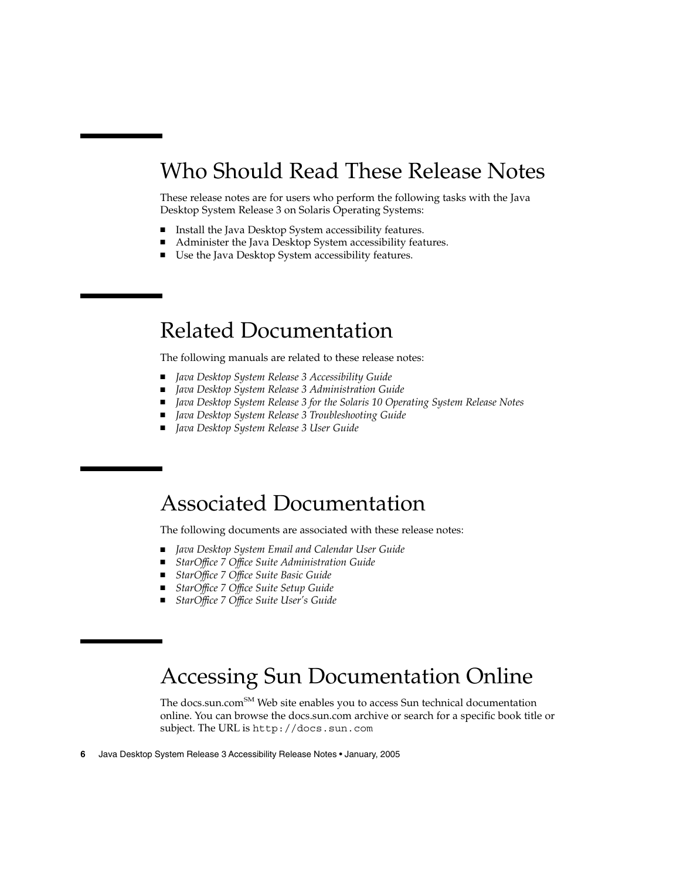### Who Should Read These Release Notes

These release notes are for users who perform the following tasks with the Java Desktop System Release 3 on Solaris Operating Systems:

- Install the Java Desktop System accessibility features.
- Administer the Java Desktop System accessibility features.
- Use the Java Desktop System accessibility features.

### Related Documentation

The following manuals are related to these release notes:

- *Java Desktop System Release 3 Accessibility Guide*
- Java Desktop System Release 3 Administration Guide
- Java Desktop System Release 3 for the Solaris 10 Operating System Release Notes
- *Java Desktop System Release 3 Troubleshooting Guide*
- *Java Desktop System Release 3 User Guide*

### Associated Documentation

The following documents are associated with these release notes:

- *Java Desktop System Email and Calendar User Guide*
- *StarOffice 7 Office Suite Administration Guide*
- *StarOffice 7 Office Suite Basic Guide*
- *StarOffice 7 Office Suite Setup Guide*
- *StarOffice 7 Office Suite User's Guide*

### Accessing Sun Documentation Online

The docs.sun.com<sup>SM</sup> Web site enables you to access Sun technical documentation online. You can browse the docs.sun.com archive or search for a specific book title or subject. The URL is <http://docs.sun.com>.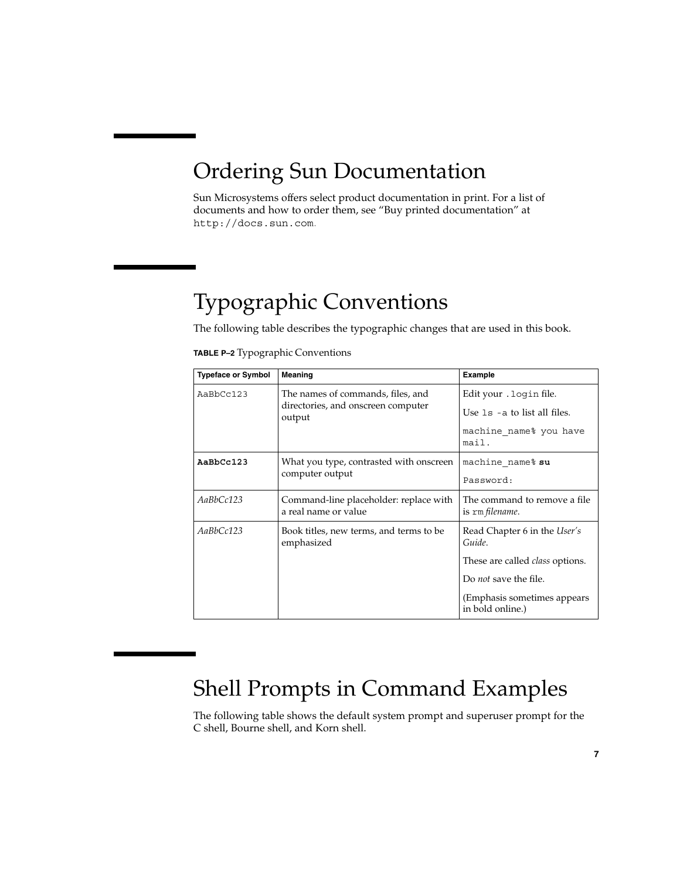# Ordering Sun Documentation

Sun Microsystems offers select product documentation in print. For a list of documents and how to order them, see "Buy printed documentation" at <http://docs.sun.com>.

### Typographic Conventions

The following table describes the typographic changes that are used in this book.

| TABLE P-2 Typographic Conventions |  |
|-----------------------------------|--|
|-----------------------------------|--|

| <b>Typeface or Symbol</b> | <b>Meaning</b>                                                                    | <b>Example</b>                                                                               |
|---------------------------|-----------------------------------------------------------------------------------|----------------------------------------------------------------------------------------------|
| AaBbCc123                 | The names of commands, files, and<br>directories, and onscreen computer<br>output | Edit your . login file.<br>Use $1s$ -a to list all files.<br>machine name% you have<br>mail. |
| AaBbCc123                 | What you type, contrasted with onscreen<br>computer output                        | machine_name% su<br>Password:                                                                |
| AaBbCc123                 | Command-line placeholder: replace with<br>a real name or value                    | The command to remove a file.<br>is rm filename.                                             |
| AaBbCc123                 | Book titles, new terms, and terms to be<br>emphasized                             | Read Chapter 6 in the User's<br>Guide.                                                       |
|                           |                                                                                   | These are called <i>class</i> options.                                                       |
|                           |                                                                                   | Do <i>not</i> save the file.                                                                 |
|                           |                                                                                   | (Emphasis sometimes appears)<br>in bold online.)                                             |

### Shell Prompts in Command Examples

The following table shows the default system prompt and superuser prompt for the C shell, Bourne shell, and Korn shell.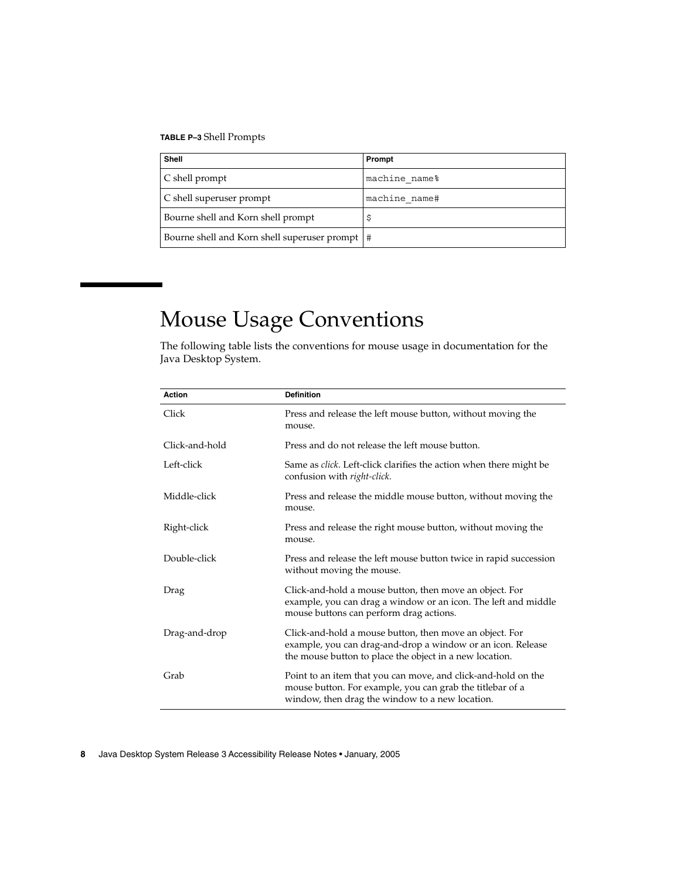#### **TABLE P–3** Shell Prompts

| <b>Shell</b>                                     | Prompt        |
|--------------------------------------------------|---------------|
| $\mid$ C shell prompt                            | machine name% |
| C shell superuser prompt                         | machine name# |
| Bourne shell and Korn shell prompt               |               |
| Bourne shell and Korn shell superuser prompt   # |               |

# Mouse Usage Conventions

The following table lists the conventions for mouse usage in documentation for the Java Desktop System.

| Action         | <b>Definition</b>                                                                                                                                                                 |
|----------------|-----------------------------------------------------------------------------------------------------------------------------------------------------------------------------------|
| Click          | Press and release the left mouse button, without moving the<br>mouse.                                                                                                             |
| Click-and-hold | Press and do not release the left mouse button.                                                                                                                                   |
| Left-click     | Same as <i>click</i> . Left-click clarifies the action when there might be<br>confusion with <i>right-click</i> .                                                                 |
| Middle-click   | Press and release the middle mouse button, without moving the<br>mouse.                                                                                                           |
| Right-click    | Press and release the right mouse button, without moving the<br>mouse.                                                                                                            |
| Double-click   | Press and release the left mouse button twice in rapid succession<br>without moving the mouse.                                                                                    |
| Drag           | Click-and-hold a mouse button, then move an object. For<br>example, you can drag a window or an icon. The left and middle<br>mouse buttons can perform drag actions.              |
| Drag-and-drop  | Click-and-hold a mouse button, then move an object. For<br>example, you can drag-and-drop a window or an icon. Release<br>the mouse button to place the object in a new location. |
| Grab           | Point to an item that you can move, and click-and-hold on the<br>mouse button. For example, you can grab the titlebar of a<br>window, then drag the window to a new location.     |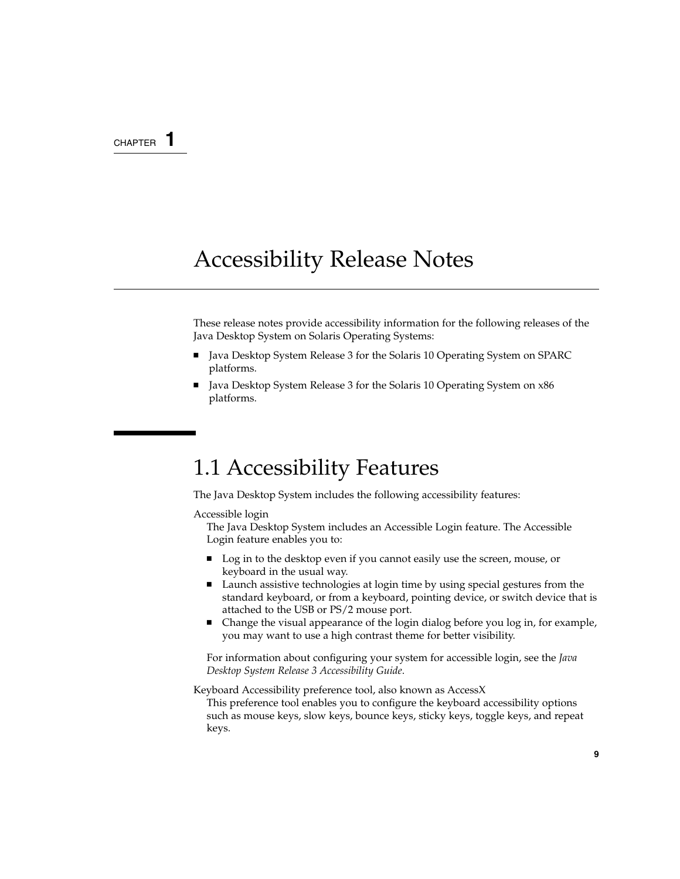#### <span id="page-8-0"></span>CHAPTER **1**

### Accessibility Release Notes

These release notes provide accessibility information for the following releases of the Java Desktop System on Solaris Operating Systems:

- Java Desktop System Release 3 for the Solaris 10 Operating System on SPARC platforms.
- Java Desktop System Release 3 for the Solaris 10 Operating System on x86 platforms.

### 1.1 Accessibility Features

The Java Desktop System includes the following accessibility features:

#### Accessible login

The Java Desktop System includes an Accessible Login feature. The Accessible Login feature enables you to:

- Log in to the desktop even if you cannot easily use the screen, mouse, or keyboard in the usual way.
- Launch assistive technologies at login time by using special gestures from the standard keyboard, or from a keyboard, pointing device, or switch device that is attached to the USB or PS/2 mouse port.
- Change the visual appearance of the login dialog before you log in, for example, you may want to use a high contrast theme for better visibility.

For information about configuring your system for accessible login, see the *Java Desktop System Release 3 Accessibility Guide*.

Keyboard Accessibility preference tool, also known as AccessX

This preference tool enables you to configure the keyboard accessibility options such as mouse keys, slow keys, bounce keys, sticky keys, toggle keys, and repeat keys.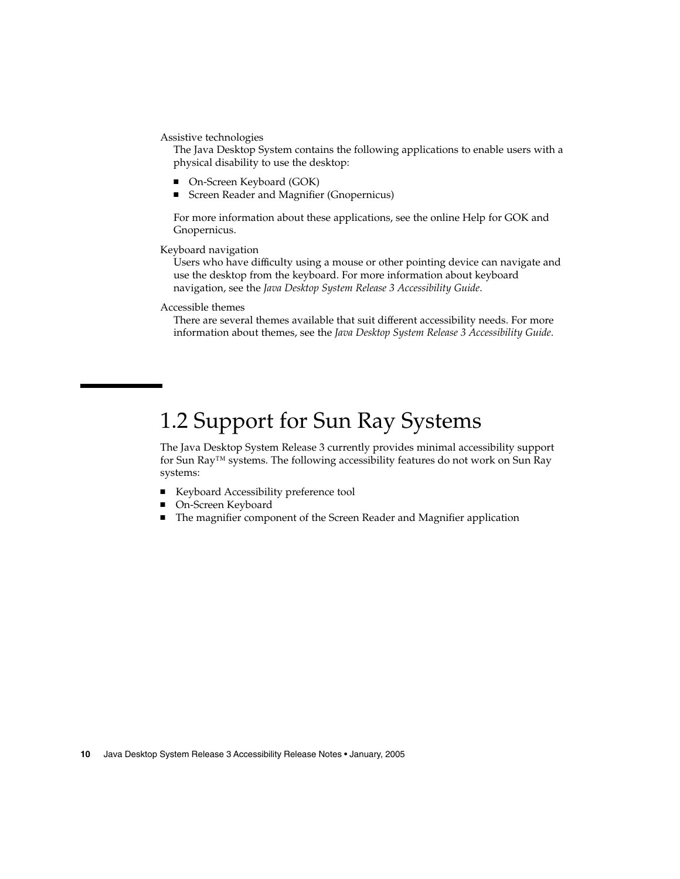#### <span id="page-9-0"></span>Assistive technologies

The Java Desktop System contains the following applications to enable users with a physical disability to use the desktop:

- On-Screen Keyboard (GOK)
- Screen Reader and Magnifier (Gnopernicus)

For more information about these applications, see the online Help for GOK and Gnopernicus.

Keyboard navigation

Users who have difficulty using a mouse or other pointing device can navigate and use the desktop from the keyboard. For more information about keyboard navigation, see the *Java Desktop System Release 3 Accessibility Guide*.

#### Accessible themes

There are several themes available that suit different accessibility needs. For more information about themes, see the *Java Desktop System Release 3 Accessibility Guide*.

## 1.2 Support for Sun Ray Systems

The Java Desktop System Release 3 currently provides minimal accessibility support for Sun Ray™ systems. The following accessibility features do not work on Sun Ray systems:

- Keyboard Accessibility preference tool
- On-Screen Keyboard
- The magnifier component of the Screen Reader and Magnifier application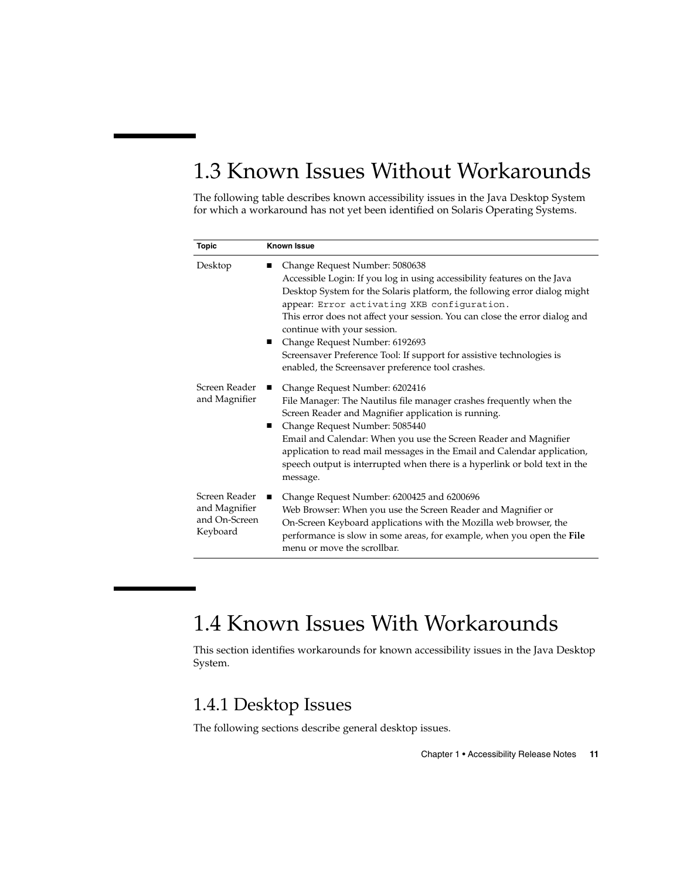### <span id="page-10-0"></span>1.3 Known Issues Without Workarounds

The following table describes known accessibility issues in the Java Desktop System for which a workaround has not yet been identified on Solaris Operating Systems.

| <b>Topic</b>                                                | <b>Known Issue</b>                                                                                                                                                                                                                                                                                                                                                                                                                                                                                                         |
|-------------------------------------------------------------|----------------------------------------------------------------------------------------------------------------------------------------------------------------------------------------------------------------------------------------------------------------------------------------------------------------------------------------------------------------------------------------------------------------------------------------------------------------------------------------------------------------------------|
| Desktop                                                     | Change Request Number: 5080638<br>Accessible Login: If you log in using accessibility features on the Java<br>Desktop System for the Solaris platform, the following error dialog might<br>appear: Error activating XKB configuration.<br>This error does not affect your session. You can close the error dialog and<br>continue with your session.<br>Change Request Number: 6192693<br>п.<br>Screensaver Preference Tool: If support for assistive technologies is<br>enabled, the Screensaver preference tool crashes. |
| Screen Reader<br>and Magnifier                              | Change Request Number: 6202416<br>File Manager: The Nautilus file manager crashes frequently when the<br>Screen Reader and Magnifier application is running.<br>Change Request Number: 5085440<br>п<br>Email and Calendar: When you use the Screen Reader and Magnifier<br>application to read mail messages in the Email and Calendar application,<br>speech output is interrupted when there is a hyperlink or bold text in the<br>message.                                                                              |
| Screen Reader<br>and Magnifier<br>and On-Screen<br>Keyboard | Change Request Number: 6200425 and 6200696<br>Web Browser: When you use the Screen Reader and Magnifier or<br>On-Screen Keyboard applications with the Mozilla web browser, the<br>performance is slow in some areas, for example, when you open the File<br>menu or move the scrollbar.                                                                                                                                                                                                                                   |

### 1.4 Known Issues With Workarounds

This section identifies workarounds for known accessibility issues in the Java Desktop System.

#### 1.4.1 Desktop Issues

The following sections describe general desktop issues.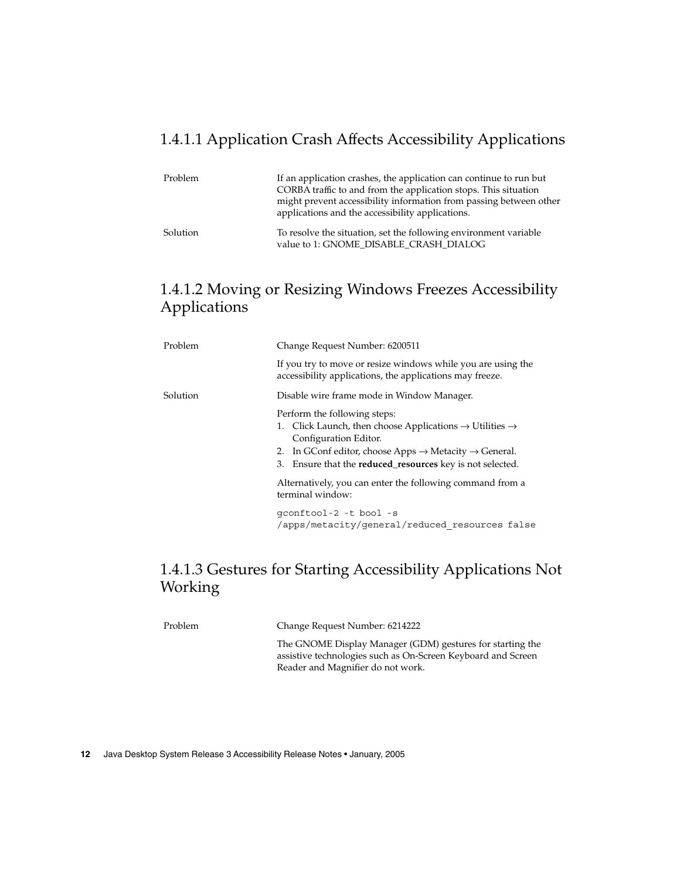#### 1.4.1.1 Application Crash Affects Accessibility Applications

| Problem  | If an application crashes, the application can continue to run but<br>CORBA traffic to and from the application stops. This situation<br>might prevent accessibility information from passing between other<br>applications and the accessibility applications. |
|----------|-----------------------------------------------------------------------------------------------------------------------------------------------------------------------------------------------------------------------------------------------------------------|
| Solution | To resolve the situation, set the following environment variable<br>value to 1: GNOME DISABLE CRASH DIALOG                                                                                                                                                      |

#### 1.4.1.2 Moving or Resizing Windows Freezes Accessibility Applications

| Problem  | Change Request Number: 6200511                                                                                                                                                                                                                                                                |
|----------|-----------------------------------------------------------------------------------------------------------------------------------------------------------------------------------------------------------------------------------------------------------------------------------------------|
|          | If you try to move or resize windows while you are using the<br>accessibility applications, the applications may freeze.                                                                                                                                                                      |
| Solution | Disable wire frame mode in Window Manager.                                                                                                                                                                                                                                                    |
|          | Perform the following steps:<br>1. Click Launch, then choose Applications $\rightarrow$ Utilities $\rightarrow$<br>Configuration Editor.<br>2. In GConf editor, choose Apps $\rightarrow$ Metacity $\rightarrow$ General.<br>3. Ensure that the <b>reduced_resources</b> key is not selected. |
|          | Alternatively, you can enter the following command from a<br>terminal window:                                                                                                                                                                                                                 |
|          | qconftool-2 -t bool -s<br>/apps/metacity/general/reduced_resources false                                                                                                                                                                                                                      |

### 1.4.1.3 Gestures for Starting Accessibility Applications Not Working

| Problem | Change Request Number: 6214222                                                                                            |
|---------|---------------------------------------------------------------------------------------------------------------------------|
|         | The GNOME Display Manager (GDM) gestures for starting the<br>assistive technologies such as On-Screen Keyboard and Screen |
|         | Reader and Magnifier do not work.                                                                                         |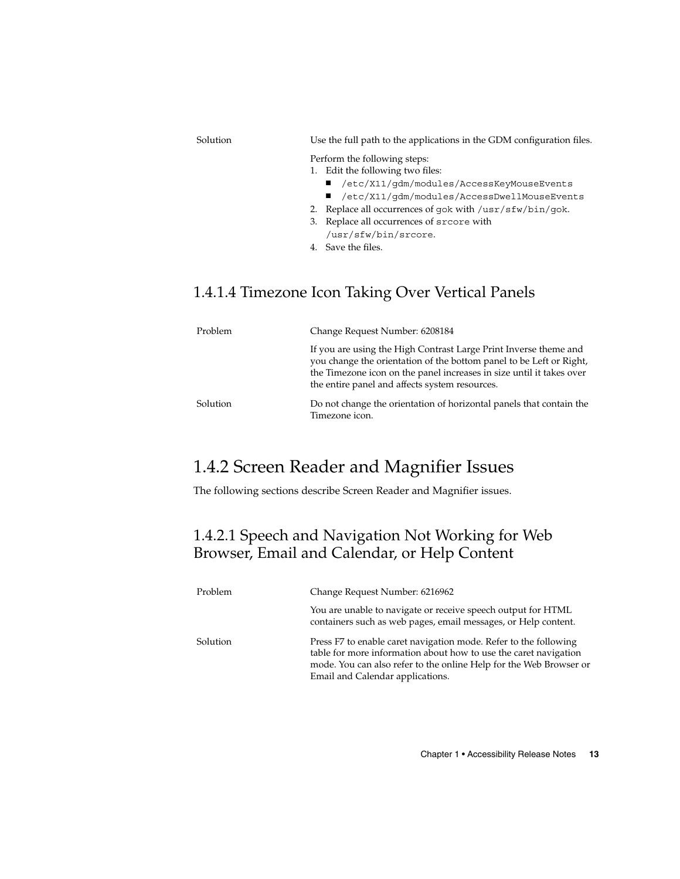<span id="page-12-0"></span>

| Solution | Use the full path to the applications in the GDM configuration files. |
|----------|-----------------------------------------------------------------------|
|          | Perform the following steps:                                          |
|          | 1. Edit the following two files:                                      |
|          | /etc/X11/qdm/modules/AccessKeyMouseEvents                             |

- /etc/X11/gdm/modules/AccessDwellMouseEvents
- 2. Replace all occurrences of gok with /usr/sfw/bin/gok.
- 3. Replace all occurrences of srcore with /usr/sfw/bin/srcore.
- 4. Save the files.

#### 1.4.1.4 Timezone Icon Taking Over Vertical Panels

| Problem  | Change Request Number: 6208184                                                                                                                                                                                                                                    |
|----------|-------------------------------------------------------------------------------------------------------------------------------------------------------------------------------------------------------------------------------------------------------------------|
|          | If you are using the High Contrast Large Print Inverse theme and<br>you change the orientation of the bottom panel to be Left or Right,<br>the Timezone icon on the panel increases in size until it takes over<br>the entire panel and affects system resources. |
| Solution | Do not change the orientation of horizontal panels that contain the<br>Timezone icon.                                                                                                                                                                             |

### 1.4.2 Screen Reader and Magnifier Issues

The following sections describe Screen Reader and Magnifier issues.

#### 1.4.2.1 Speech and Navigation Not Working for Web Browser, Email and Calendar, or Help Content

| Problem  | Change Request Number: 6216962                                                                                                                                                                                                                 |
|----------|------------------------------------------------------------------------------------------------------------------------------------------------------------------------------------------------------------------------------------------------|
|          | You are unable to navigate or receive speech output for HTML<br>containers such as web pages, email messages, or Help content.                                                                                                                 |
| Solution | Press F7 to enable caret navigation mode. Refer to the following<br>table for more information about how to use the caret navigation<br>mode. You can also refer to the online Help for the Web Browser or<br>Email and Calendar applications. |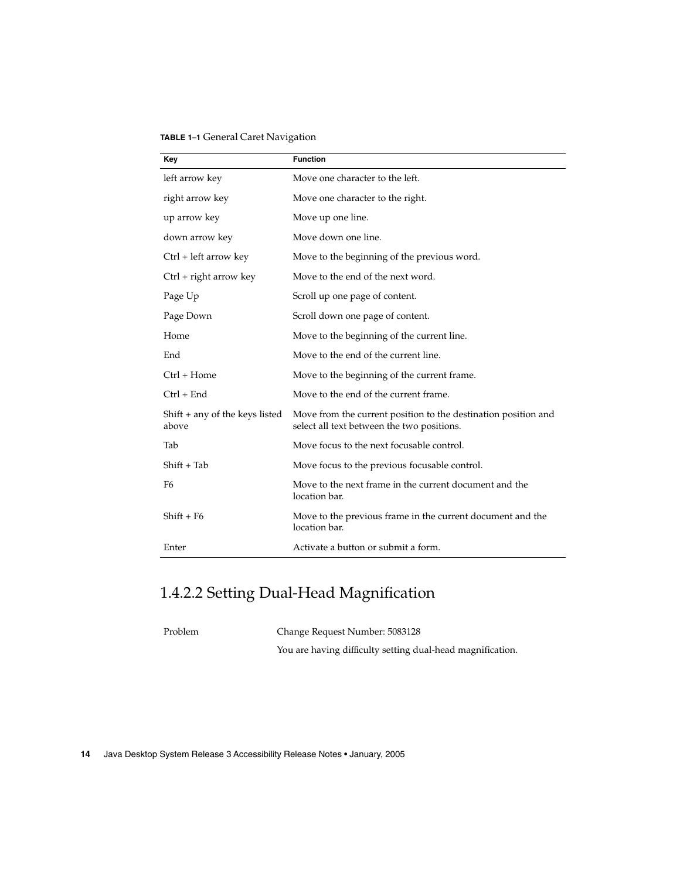**TABLE 1–1** General Caret Navigation

| Key                                       | <b>Function</b>                                                                                              |
|-------------------------------------------|--------------------------------------------------------------------------------------------------------------|
| left arrow key                            | Move one character to the left.                                                                              |
| right arrow key                           | Move one character to the right.                                                                             |
| up arrow key                              | Move up one line.                                                                                            |
| down arrow key                            | Move down one line.                                                                                          |
| $Ctrl + left arrow key$                   | Move to the beginning of the previous word.                                                                  |
| $Ctrl + right arrow key$                  | Move to the end of the next word.                                                                            |
| Page Up                                   | Scroll up one page of content.                                                                               |
| Page Down                                 | Scroll down one page of content.                                                                             |
| Home                                      | Move to the beginning of the current line.                                                                   |
| End                                       | Move to the end of the current line.                                                                         |
| $Ctrl + Home$                             | Move to the beginning of the current frame.                                                                  |
| $Ctrl + End$                              | Move to the end of the current frame.                                                                        |
| Shift $+$ any of the keys listed<br>above | Move from the current position to the destination position and<br>select all text between the two positions. |
| Tab                                       | Move focus to the next focusable control.                                                                    |
| $Shift + Tab$                             | Move focus to the previous focusable control.                                                                |
| F6                                        | Move to the next frame in the current document and the<br>location bar.                                      |
| $Shift + F6$                              | Move to the previous frame in the current document and the<br>location bar.                                  |
| Enter                                     | Activate a button or submit a form.                                                                          |

### 1.4.2.2 Setting Dual-Head Magnification

| Problem | Change Request Number: 5083128                             |
|---------|------------------------------------------------------------|
|         | You are having difficulty setting dual-head magnification. |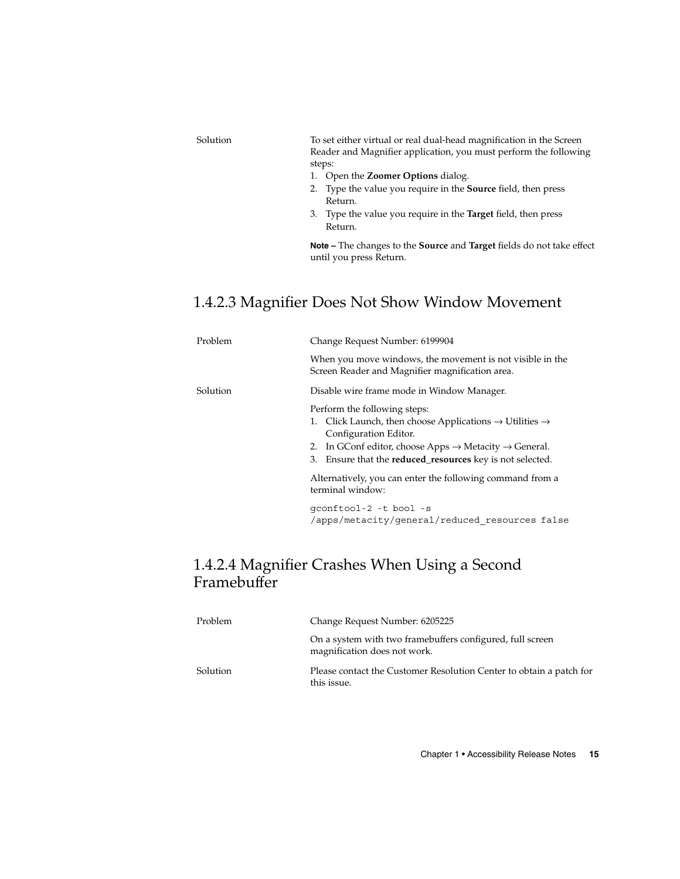| Solution | To set either virtual or real dual-head magnification in the Screen<br>Reader and Magnifier application, you must perform the following |
|----------|-----------------------------------------------------------------------------------------------------------------------------------------|
|          | steps:                                                                                                                                  |
|          | 1. Open the Zoomer Options dialog.                                                                                                      |
|          | 2. Type the value you require in the Source field, then press<br>Return.                                                                |
|          | 3. Type the value you require in the <b>Target</b> field, then press<br>Return.                                                         |

**Note –** The changes to the **Source** and **Target** fields do not take effect until you press Return.

### 1.4.2.3 Magnifier Does Not Show Window Movement

| Problem  | Change Request Number: 6199904                                                                                                                                                                                                                                                                   |
|----------|--------------------------------------------------------------------------------------------------------------------------------------------------------------------------------------------------------------------------------------------------------------------------------------------------|
|          | When you move windows, the movement is not visible in the<br>Screen Reader and Magnifier magnification area.                                                                                                                                                                                     |
| Solution | Disable wire frame mode in Window Manager.                                                                                                                                                                                                                                                       |
|          | Perform the following steps:<br>1. Click Launch, then choose Applications $\rightarrow$ Utilities $\rightarrow$<br>Configuration Editor.<br>2. In GConf editor, choose Apps $\rightarrow$ Metacity $\rightarrow$ General.<br>Ensure that the <b>reduced_resources</b> key is not selected.<br>3. |
|          | Alternatively, you can enter the following command from a<br>terminal window:                                                                                                                                                                                                                    |
|          | qconftool-2 -t bool -s<br>/apps/metacity/general/reduced resources false                                                                                                                                                                                                                         |

#### 1.4.2.4 Magnifier Crashes When Using a Second Framebuffer

| Problem  | Change Request Number: 6205225                                                            |
|----------|-------------------------------------------------------------------------------------------|
|          | On a system with two framebuffers configured, full screen<br>magnification does not work. |
| Solution | Please contact the Customer Resolution Center to obtain a patch for<br>this issue.        |

Chapter 1 • Accessibility Release Notes **15**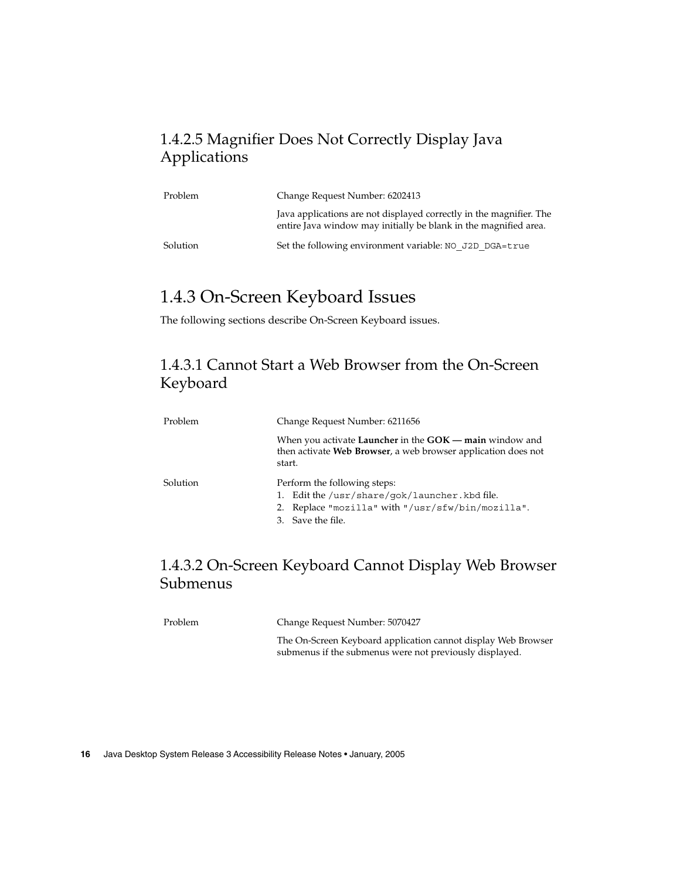#### <span id="page-15-0"></span>1.4.2.5 Magnifier Does Not Correctly Display Java Applications

| Problem  | Change Request Number: 6202413                                                                                                          |
|----------|-----------------------------------------------------------------------------------------------------------------------------------------|
|          | Java applications are not displayed correctly in the magnifier. The<br>entire Java window may initially be blank in the magnified area. |
| Solution | Set the following environment variable: NO J2D DGA=true                                                                                 |

### 1.4.3 On-Screen Keyboard Issues

The following sections describe On-Screen Keyboard issues.

#### 1.4.3.1 Cannot Start a Web Browser from the On-Screen Keyboard

| Problem  | Change Request Number: 6211656                                                                                                                          |
|----------|---------------------------------------------------------------------------------------------------------------------------------------------------------|
|          | When you activate Launcher in the $GOK$ — main window and<br>then activate Web Browser, a web browser application does not<br>start.                    |
| Solution | Perform the following steps:<br>1. Edit the /usr/share/qok/launcher.kbd file.<br>2. Replace "mozilla" with "/usr/sfw/bin/mozilla".<br>3. Save the file. |

#### 1.4.3.2 On-Screen Keyboard Cannot Display Web Browser Submenus

| Problem | Change Request Number: 5070427                                                                                           |
|---------|--------------------------------------------------------------------------------------------------------------------------|
|         | The On-Screen Keyboard application cannot display Web Browser<br>submenus if the submenus were not previously displayed. |